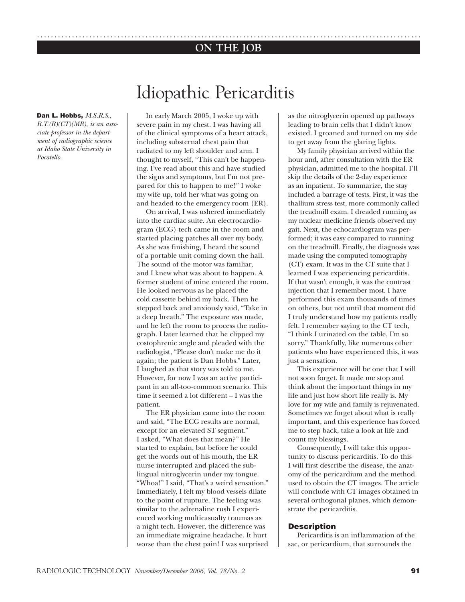### .............................................................................................................. **ON THE JOB**

**Dan L. Hobbs,** *M.S.R.S.,* 

*R.T.(R)(CT)(MR), is an associate professor in the department of radiographic science at Idaho State University in Pocatello.*

## Idiopathic Pericarditis

In early March 2005, I woke up with severe pain in my chest. I was having all of the clinical symptoms of a heart attack, including substernal chest pain that radiated to my left shoulder and arm. I thought to myself, "This can't be happening. I've read about this and have studied the signs and symptoms, but I'm not prepared for this to happen to me!" I woke my wife up, told her what was going on and headed to the emergency room (ER).

On arrival, I was ushered immediately into the cardiac suite. An electrocardiogram (ECG) tech came in the room and started placing patches all over my body. As she was finishing, I heard the sound of a portable unit coming down the hall. The sound of the motor was familiar, and I knew what was about to happen. A former student of mine entered the room. He looked nervous as he placed the cold cassette behind my back. Then he stepped back and anxiously said, "Take in a deep breath." The exposure was made, and he left the room to process the radiograph. I later learned that he clipped my costophrenic angle and pleaded with the radiologist, "Please don't make me do it again; the patient is Dan Hobbs." Later, I laughed as that story was told to me. However, for now I was an active participant in an all-too-common scenario. This time it seemed a lot different – I was the patient.

The ER physician came into the room and said, "The ECG results are normal, except for an elevated ST segment." I asked, "What does that mean?" He started to explain, but before he could get the words out of his mouth, the ER nurse interrupted and placed the sublingual nitroglycerin under my tongue. "Whoa!" I said, "That's a weird sensation." Immediately, I felt my blood vessels dilate to the point of rupture. The feeling was similar to the adrenaline rush I experienced working multicasualty traumas as a night tech. However, the difference was an immediate migraine headache. It hurt worse than the chest pain! I was surprised as the nitroglycerin opened up pathways leading to brain cells that I didn't know existed. I groaned and turned on my side to get away from the glaring lights.

My family physician arrived within the hour and, after consultation with the ER physician, admitted me to the hospital. I'll skip the details of the 2-day experience as an inpatient. To summarize, the stay included a barrage of tests. First, it was the thallium stress test, more commonly called the treadmill exam. I dreaded running as my nuclear medicine friends observed my gait. Next, the echocardiogram was performed; it was easy compared to running on the treadmill. Finally, the diagnosis was made using the computed tomography (CT) exam. It was in the CT suite that I learned I was experiencing pericarditis. If that wasn't enough, it was the contrast injection that I remember most. I have performed this exam thousands of times on others, but not until that moment did I truly understand how my patients really felt. I remember saying to the CT tech, "I think I urinated on the table, I'm so sorry." Thankfully, like numerous other patients who have experienced this, it was just a sensation.

This experience will be one that I will not soon forget. It made me stop and think about the important things in my life and just how short life really is. My love for my wife and family is rejuvenated. Sometimes we forget about what is really important, and this experience has forced me to step back, take a look at life and count my blessings.

Consequently, I will take this opportunity to discuss pericarditis. To do this I will first describe the disease, the anatomy of the pericardium and the method used to obtain the CT images. The article will conclude with CT images obtained in several orthogonal planes, which demonstrate the pericarditis.

#### **Description**

Pericarditis is an inflammation of the sac, or pericardium, that surrounds the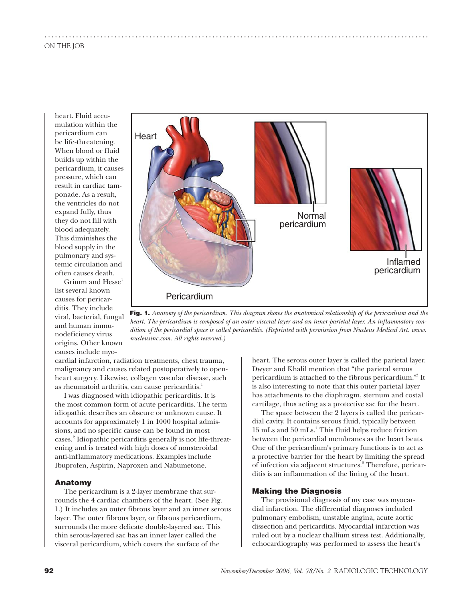heart. Fluid accumulation within the pericardium can be life-threatening. When blood or fluid builds up within the pericardium, it causes pressure, which can result in cardiac tamponade. As a result, the ventricles do not expand fully, thus they do not fill with blood adequately. This diminishes the blood supply in the pulmonary and systemic circulation and often causes death.

Grimm and  $Hesse<sup>1</sup>$ list several known causes for pericarditis. They include viral, bacterial, fungal and human immunodeficiency virus origins. Other known causes include myo-



..............................................................................................................

**Fig. 1.** *Anatomy of the pericardium. This diagram shows the anatomical relationship of the pericardium and the heart. The pericardium is composed of an outer visceral layer and an inner parietal layer. An inflammatory condition of the pericardial space is called pericarditis. (Reprinted with permission from Nucleus Medical Art. www. nucleusinc.com. All rights reserved.)*

cardial infarction, radiation treatments, chest trauma, malignancy and causes related postoperatively to openheart surgery. Likewise, collagen vascular disease, such as rheumatoid arthritis, can cause pericarditis.<sup>1</sup>

I was diagnosed with idiopathic pericarditis. It is the most common form of acute pericarditis. The term idiopathic describes an obscure or unknown cause. It accounts for approximately 1 in 1000 hospital admissions, and no specific cause can be found in most cases.<sup>2</sup> Idiopathic pericarditis generally is not life-threatening and is treated with high doses of nonsteroidal anti-inflammatory medications. Examples include Ibuprofen, Aspirin, Naproxen and Nabumetone.

#### **Anatomy**

The pericardium is a 2-layer membrane that surrounds the 4 cardiac chambers of the heart. (See Fig. 1.) It includes an outer fibrous layer and an inner serous layer. The outer fibrous layer, or fibrous pericardium, surrounds the more delicate double-layered sac. This thin serous-layered sac has an inner layer called the visceral pericardium, which covers the surface of the

heart. The serous outer layer is called the parietal layer. Dwyer and Khalil mention that "the parietal serous pericardium is attached to the fibrous pericardium."3 It is also interesting to note that this outer parietal layer has attachments to the diaphragm, sternum and costal cartilage, thus acting as a protective sac for the heart.

The space between the 2 layers is called the pericardial cavity. It contains serous fluid, typically between 15 mLs and 50 mLs.<sup>4</sup> This fluid helps reduce friction between the pericardial membranes as the heart beats. One of the pericardium's primary functions is to act as a protective barrier for the heart by limiting the spread of infection via adjacent structures.<sup>5</sup> Therefore, pericarditis is an inflammation of the lining of the heart.

#### **Making the Diagnosis**

The provisional diagnosis of my case was myocardial infarction. The differential diagnoses included pulmonary embolism, unstable angina, acute aortic dissection and pericarditis. Myocardial infarction was ruled out by a nuclear thallium stress test. Additionally, echocardiography was performed to assess the heart's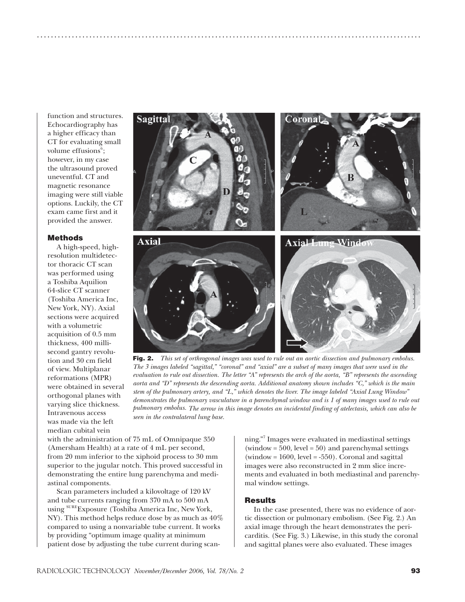function and structures. Echocardiography has a higher efficacy than CT for evaluating small volume effusions<sup>6</sup>; however, in my case the ultrasound proved uneventful. CT and magnetic resonance imaging were still viable options. Luckily, the CT exam came first and it provided the answer.

#### **Methods**

A high-speed, highresolution multidetector thoracic CT scan was performed using a Toshiba Aquilion 64-slice CT scanner (Toshiba America Inc, New York, NY). Axial sections were acquired with a volumetric acquisition of 0.5 mm thickness, 400 millisecond gantry revolution and 30 cm field of view. Multiplanar reformations (MPR) were obtained in several orthogonal planes with varying slice thickness. Intravenous access was made via the left median cubital vein



..............................................................................................................

**Fig. 2.** *This set of orthrogonal images was used to rule out an aortic dissection and pulmonary embolus. The 3 images labeled "sagittal," "coronal" and "axial" are a subset of many images that were used in the evaluation to rule out dissection. The letter "A" represents the arch of the aorta, "B" represents the ascending aorta and "D" represents the descending aorta. Additional anatomy shown includes "C," which is the main stem of the pulmonary artery, and "L," which denotes the liver. The image labeled "Axial Lung Window" demonstrates the pulmonary vasculature in a parenchymal window and is 1 of many images used to rule out pulmonary embolus. The arrow in this image denotes an incidental finding of atelectasis, which can also be seen in the contralateral lung base.*

with the administration of 75 mL of Omnipaque 350 (Amersham Health) at a rate of 4 mL per second, from 20 mm inferior to the xiphoid process to 30 mm superior to the jugular notch. This proved successful in demonstrating the entire lung parenchyma and mediastinal components.

Scan parameters included a kilovoltage of 120 kV and tube currents ranging from 370 mA to 500 mA using SURE Exposure (Toshiba America Inc, New York, NY). This method helps reduce dose by as much as 40% compared to using a nonvariable tube current. It works by providing "optimum image quality at minimum patient dose by adjusting the tube current during scan-

ning."7 Images were evaluated in mediastinal settings (window =  $500$ , level =  $50$ ) and parenchymal settings (window =  $1600$ , level =  $-550$ ). Coronal and sagittal images were also reconstructed in 2 mm slice increments and evaluated in both mediastinal and parenchymal window settings.

#### **Results**

In the case presented, there was no evidence of aortic dissection or pulmonary embolism. (See Fig. 2.) An axial image through the heart demonstrates the pericarditis. (See Fig. 3.) Likewise, in this study the coronal and sagittal planes were also evaluated. These images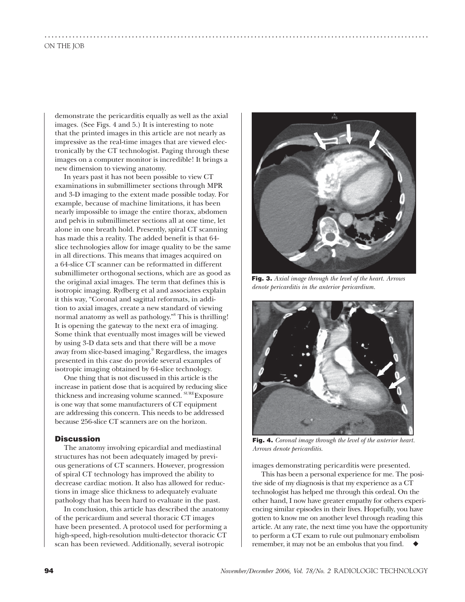demonstrate the pericarditis equally as well as the axial images. (See Figs. 4 and 5.) It is interesting to note that the printed images in this article are not nearly as impressive as the real-time images that are viewed electronically by the CT technologist. Paging through these images on a computer monitor is incredible! It brings a new dimension to viewing anatomy.

..............................................................................................................

In years past it has not been possible to view CT examinations in submillimeter sections through MPR and 3-D imaging to the extent made possible today. For example, because of machine limitations, it has been nearly impossible to image the entire thorax, abdomen and pelvis in submillimeter sections all at one time, let alone in one breath hold. Presently, spiral CT scanning has made this a reality. The added benefit is that 64 slice technologies allow for image quality to be the same in all directions. This means that images acquired on a 64-slice CT scanner can be reformatted in different submillimeter orthogonal sections, which are as good as the original axial images. The term that defines this is isotropic imaging. Rydberg et al and associates explain it this way, "Coronal and sagittal reformats, in addition to axial images, create a new standard of viewing normal anatomy as well as pathology."8 This is thrilling! It is opening the gateway to the next era of imaging. Some think that eventually most images will be viewed by using 3-D data sets and that there will be a move away from slice-based imaging.<sup>9</sup> Regardless, the images presented in this case do provide several examples of isotropic imaging obtained by 64-slice technology.

One thing that is not discussed in this article is the increase in patient dose that is acquired by reducing slice thickness and increasing volume scanned. SURE Exposure is one way that some manufacturers of CT equipment are addressing this concern. This needs to be addressed because 256-slice CT scanners are on the horizon.

#### **Discussion**

The anatomy involving epicardial and mediastinal structures has not been adequately imaged by previous generations of CT scanners. However, progression of spiral CT technology has improved the ability to decrease cardiac motion. It also has allowed for reductions in image slice thickness to adequately evaluate pathology that has been hard to evaluate in the past.

In conclusion, this article has described the anatomy of the pericardium and several thoracic CT images have been presented. A protocol used for performing a high-speed, high-resolution multi-detector thoracic CT scan has been reviewed. Additionally, several isotropic



**Fig. 3.** *Axial image through the level of the heart. Arrows denote pericarditis in the anterior pericardium.*



**Fig. 4.** *Coronal image through the level of the anterior heart. Arrows denote pericarditis.*

images demonstrating pericarditis were presented.

This has been a personal experience for me. The positive side of my diagnosis is that my experience as a CT technologist has helped me through this ordeal. On the other hand, I now have greater empathy for others experiencing similar episodes in their lives. Hopefully, you have gotten to know me on another level through reading this article. At any rate, the next time you have the opportunity to perform a CT exam to rule out pulmonary embolism remember, it may not be an embolus that you find.